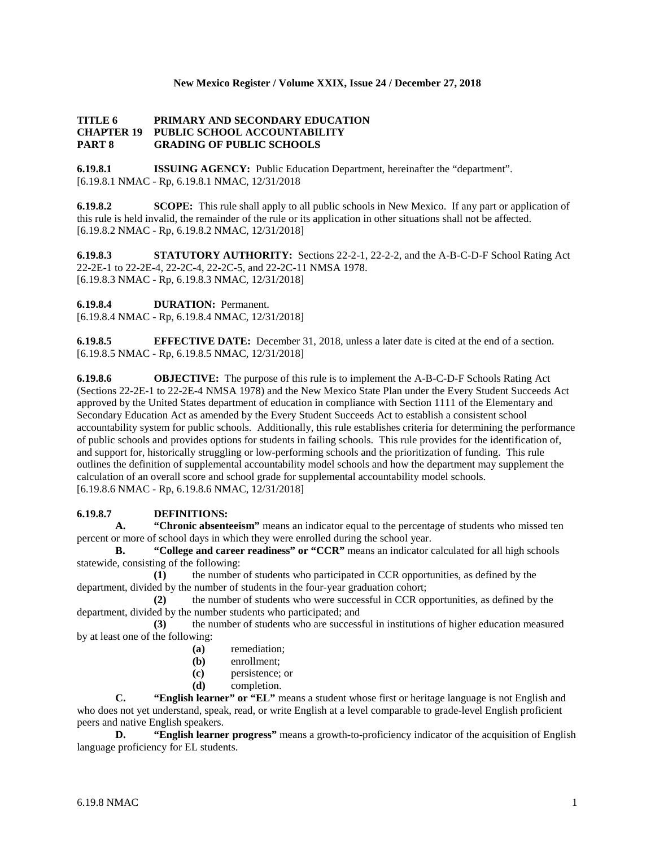### **New Mexico Register / Volume XXIX, Issue 24 / December 27, 2018**

### **TITLE 6 PRIMARY AND SECONDARY EDUCATION CHAPTER 19 PUBLIC SCHOOL ACCOUNTABILITY PART 8 GRADING OF PUBLIC SCHOOLS**

**6.19.8.1 ISSUING AGENCY:** Public Education Department, hereinafter the "department". [6.19.8.1 NMAC - Rp, 6.19.8.1 NMAC, 12/31/2018

**6.19.8.2 SCOPE:** This rule shall apply to all public schools in New Mexico. If any part or application of this rule is held invalid, the remainder of the rule or its application in other situations shall not be affected. [6.19.8.2 NMAC - Rp, 6.19.8.2 NMAC, 12/31/2018]

**6.19.8.3 STATUTORY AUTHORITY:** Sections 22-2-1, 22-2-2, and the A-B-C-D-F School Rating Act 22-2E-1 to 22-2E-4, 22-2C-4, 22-2C-5, and 22-2C-11 NMSA 1978. [6.19.8.3 NMAC - Rp, 6.19.8.3 NMAC, 12/31/2018]

**6.19.8.4 DURATION:** Permanent.

[6.19.8.4 NMAC - Rp, 6.19.8.4 NMAC, 12/31/2018]

**6.19.8.5 EFFECTIVE DATE:** December 31, 2018, unless a later date is cited at the end of a section. [6.19.8.5 NMAC - Rp, 6.19.8.5 NMAC, 12/31/2018]

**6.19.8.6 OBJECTIVE:** The purpose of this rule is to implement the A-B-C-D-F Schools Rating Act (Sections 22-2E-1 to 22-2E-4 NMSA 1978) and the New Mexico State Plan under the Every Student Succeeds Act approved by the United States department of education in compliance with Section 1111 of the Elementary and Secondary Education Act as amended by the Every Student Succeeds Act to establish a consistent school accountability system for public schools. Additionally, this rule establishes criteria for determining the performance of public schools and provides options for students in failing schools. This rule provides for the identification of, and support for, historically struggling or low-performing schools and the prioritization of funding. This rule outlines the definition of supplemental accountability model schools and how the department may supplement the calculation of an overall score and school grade for supplemental accountability model schools. [6.19.8.6 NMAC - Rp, 6.19.8.6 NMAC, 12/31/2018]

### **6.19.8.7 DEFINITIONS:**

**A. "Chronic absenteeism"** means an indicator equal to the percentage of students who missed ten percent or more of school days in which they were enrolled during the school year.

**B. "College and career readiness" or "CCR"** means an indicator calculated for all high schools statewide, consisting of the following:

**(1)** the number of students who participated in CCR opportunities, as defined by the department, divided by the number of students in the four-year graduation cohort;

**(2)** the number of students who were successful in CCR opportunities, as defined by the department, divided by the number students who participated; and

**(3)** the number of students who are successful in institutions of higher education measured by at least one of the following:

- **(a)** remediation;
- **(b)** enrollment;
- **(c)** persistence; or
- **(d)** completion.

**C. "English learner" or "EL"** means a student whose first or heritage language is not English and who does not yet understand, speak, read, or write English at a level comparable to grade-level English proficient peers and native English speakers.

**D. "English learner progress"** means a growth-to-proficiency indicator of the acquisition of English language proficiency for EL students.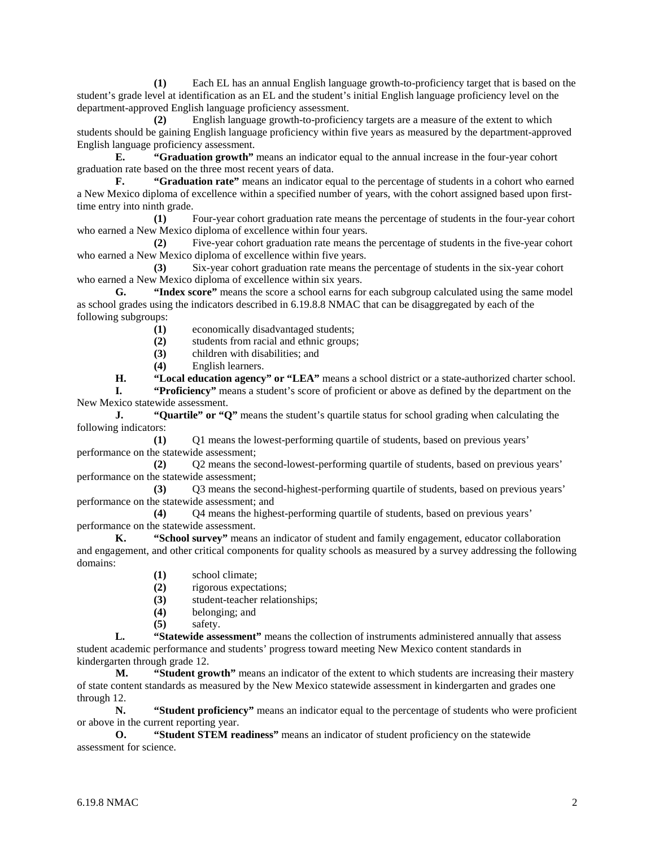**(1)** Each EL has an annual English language growth-to-proficiency target that is based on the student's grade level at identification as an EL and the student's initial English language proficiency level on the department-approved English language proficiency assessment.

**(2)** English language growth-to-proficiency targets are a measure of the extent to which students should be gaining English language proficiency within five years as measured by the department-approved English language proficiency assessment.

**E. "Graduation growth"** means an indicator equal to the annual increase in the four-year cohort graduation rate based on the three most recent years of data.

**F. "Graduation rate"** means an indicator equal to the percentage of students in a cohort who earned a New Mexico diploma of excellence within a specified number of years, with the cohort assigned based upon firsttime entry into ninth grade.

**(1)** Four-year cohort graduation rate means the percentage of students in the four-year cohort who earned a New Mexico diploma of excellence within four years.

**(2)** Five-year cohort graduation rate means the percentage of students in the five-year cohort who earned a New Mexico diploma of excellence within five years.

**(3)** Six-year cohort graduation rate means the percentage of students in the six-year cohort who earned a New Mexico diploma of excellence within six years.

**G. "Index score"** means the score a school earns for each subgroup calculated using the same model as school grades using the indicators described in 6.19.8.8 NMAC that can be disaggregated by each of the following subgroups:

**(1)** economically disadvantaged students;

(2) students from racial and ethnic groups;<br>(3) children with disabilities: and

- **(3)** children with disabilities; and
- **(4)** English learners.

**H. "Local education agency" or "LEA"** means a school district or a state-authorized charter school.

**I. "Proficiency"** means a student's score of proficient or above as defined by the department on the New Mexico statewide assessment.

**J. "Quartile" or "Q"** means the student's quartile status for school grading when calculating the following indicators:

**(1)** Q1 means the lowest-performing quartile of students, based on previous years' performance on the statewide assessment;

**(2)** Q2 means the second-lowest-performing quartile of students, based on previous years' performance on the statewide assessment;

**(3)** Q3 means the second-highest-performing quartile of students, based on previous years' performance on the statewide assessment; and

**(4)** Q4 means the highest-performing quartile of students, based on previous years' performance on the statewide assessment.

**K. "School survey"** means an indicator of student and family engagement, educator collaboration and engagement, and other critical components for quality schools as measured by a survey addressing the following domains:

- **(1)** school climate;
- **(2)** rigorous expectations;
- (3) student-teacher relationships;<br>(4) belonging; and
- **(4)** belonging; and
- **(5)** safety.

**L. "Statewide assessment"** means the collection of instruments administered annually that assess student academic performance and students' progress toward meeting New Mexico content standards in kindergarten through grade 12.

**M. "Student growth"** means an indicator of the extent to which students are increasing their mastery of state content standards as measured by the New Mexico statewide assessment in kindergarten and grades one through 12.

**N. "Student proficiency"** means an indicator equal to the percentage of students who were proficient or above in the current reporting year.

**O. "Student STEM readiness"** means an indicator of student proficiency on the statewide assessment for science.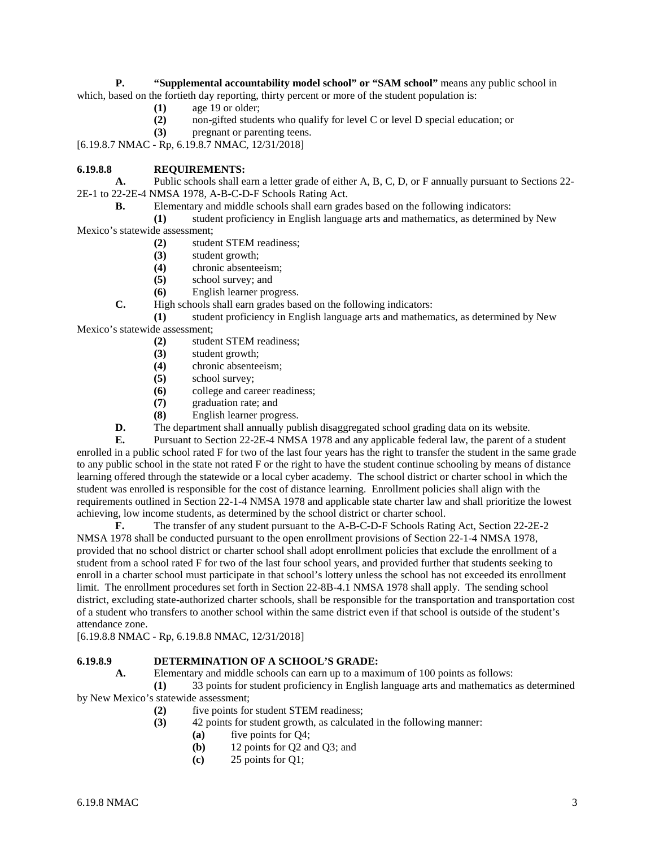**P. "Supplemental accountability model school" or "SAM school"** means any public school in which, based on the fortieth day reporting, thirty percent or more of the student population is:

- **(1)** age 19 or older;
- **(2)** non-gifted students who qualify for level C or level D special education; or
- **(3)** pregnant or parenting teens.

[6.19.8.7 NMAC - Rp, 6.19.8.7 NMAC, 12/31/2018]

## **6.19.8.8 REQUIREMENTS:**

**A.** Public schools shall earn a letter grade of either A, B, C, D, or F annually pursuant to Sections 22- 2E-1 to 22-2E-4 NMSA 1978, A-B-C-D-F Schools Rating Act.

**B.** Elementary and middle schools shall earn grades based on the following indicators:

**(1)** student proficiency in English language arts and mathematics, as determined by New Mexico's statewide assessment;

- **(2)** student STEM readiness;
	- **(3)** student growth;
	- **(4)** chronic absenteeism;
	- **(5)** school survey; and
	- **(6)** English learner progress.
- **C.** High schools shall earn grades based on the following indicators:

**(1)** student proficiency in English language arts and mathematics, as determined by New

Mexico's statewide assessment;

- **(2)** student STEM readiness;
- **(3)** student growth;
- **(4)** chronic absenteeism;
- **(5)** school survey;
- **(6)** college and career readiness;
- **(7)** graduation rate; and
- **(8)** English learner progress.
- **D.** The department shall annually publish disaggregated school grading data on its website.

**E.** Pursuant to Section 22-2E-4 NMSA 1978 and any applicable federal law, the parent of a student enrolled in a public school rated F for two of the last four years has the right to transfer the student in the same grade to any public school in the state not rated F or the right to have the student continue schooling by means of distance learning offered through the statewide or a local cyber academy. The school district or charter school in which the student was enrolled is responsible for the cost of distance learning. Enrollment policies shall align with the requirements outlined in Section 22-1-4 NMSA 1978 and applicable state charter law and shall prioritize the lowest achieving, low income students, as determined by the school district or charter school.

**F.** The transfer of any student pursuant to the A-B-C-D-F Schools Rating Act, Section 22-2E-2 NMSA 1978 shall be conducted pursuant to the open enrollment provisions of Section 22-1-4 NMSA 1978, provided that no school district or charter school shall adopt enrollment policies that exclude the enrollment of a student from a school rated F for two of the last four school years, and provided further that students seeking to enroll in a charter school must participate in that school's lottery unless the school has not exceeded its enrollment limit. The enrollment procedures set forth in Section 22-8B-4.1 NMSA 1978 shall apply. The sending school district, excluding state-authorized charter schools, shall be responsible for the transportation and transportation cost of a student who transfers to another school within the same district even if that school is outside of the student's attendance zone.

[6.19.8.8 NMAC - Rp, 6.19.8.8 NMAC, 12/31/2018]

# **6.19.8.9 DETERMINATION OF A SCHOOL'S GRADE:**<br>**A.** Elementary and middle schools can earn up to a max

**A.** Elementary and middle schools can earn up to a maximum of 100 points as follows:

**(1)** 33 points for student proficiency in English language arts and mathematics as determined by New Mexico's statewide assessment;

- **(2)** five points for student STEM readiness;
- **(3)** 42 points for student growth, as calculated in the following manner:
	- **(a)** five points for Q4;
	- **(b)** 12 points for Q2 and Q3; and
	- **(c)** 25 points for Q1;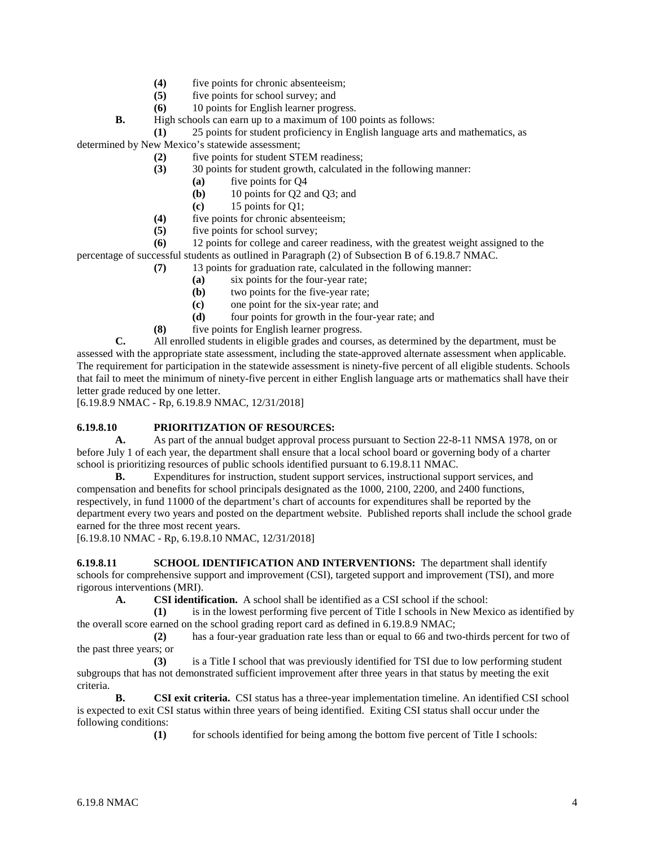- (4) five points for chronic absenteeism;<br>(5) five points for school survey; and
- five points for school survey; and
- **(6)** 10 points for English learner progress.
- **B.** High schools can earn up to a maximum of 100 points as follows:

**(1)** 25 points for student proficiency in English language arts and mathematics, as

determined by New Mexico's statewide assessment;

- **(2)** five points for student STEM readiness;
- **(3)** 30 points for student growth, calculated in the following manner:
	- **(a)** five points for Q4
	- **(b)** 10 points for Q2 and Q3; and
	- **(c)** 15 points for Q1;
- **(4)** five points for chronic absenteeism;
- **(5)** five points for school survey;

**(6)** 12 points for college and career readiness, with the greatest weight assigned to the percentage of successful students as outlined in Paragraph (2) of Subsection B of 6.19.8.7 NMAC.

**(7)** 13 points for graduation rate, calculated in the following manner:

- **(a)** six points for the four-year rate;
- **(b)** two points for the five-year rate;
- **(c)** one point for the six-year rate; and
- **(d)** four points for growth in the four-year rate; and
- **(8)** five points for English learner progress.

**C.** All enrolled students in eligible grades and courses, as determined by the department, must be assessed with the appropriate state assessment, including the state-approved alternate assessment when applicable. The requirement for participation in the statewide assessment is ninety-five percent of all eligible students. Schools that fail to meet the minimum of ninety-five percent in either English language arts or mathematics shall have their letter grade reduced by one letter.

[6.19.8.9 NMAC - Rp, 6.19.8.9 NMAC, 12/31/2018]

# **6.19.8.10 PRIORITIZATION OF RESOURCES:**

**A.** As part of the annual budget approval process pursuant to Section 22-8-11 NMSA 1978, on or before July 1 of each year, the department shall ensure that a local school board or governing body of a charter school is prioritizing resources of public schools identified pursuant to 6.19.8.11 NMAC.

**B.** Expenditures for instruction, student support services, instructional support services, and compensation and benefits for school principals designated as the 1000, 2100, 2200, and 2400 functions, respectively, in fund 11000 of the department's chart of accounts for expenditures shall be reported by the department every two years and posted on the department website. Published reports shall include the school grade earned for the three most recent years.

[6.19.8.10 NMAC - Rp, 6.19.8.10 NMAC, 12/31/2018]

**6.19.8.11 SCHOOL IDENTIFICATION AND INTERVENTIONS:** The department shall identify schools for comprehensive support and improvement (CSI), targeted support and improvement (TSI), and more rigorous interventions (MRI).

**A. CSI identification.** A school shall be identified as a CSI school if the school:

**(1)** is in the lowest performing five percent of Title I schools in New Mexico as identified by the overall score earned on the school grading report card as defined in 6.19.8.9 NMAC;

**(2)** has a four-year graduation rate less than or equal to 66 and two-thirds percent for two of the past three years; or

**(3)** is a Title I school that was previously identified for TSI due to low performing student subgroups that has not demonstrated sufficient improvement after three years in that status by meeting the exit criteria.

**B. CSI exit criteria.** CSI status has a three-year implementation timeline. An identified CSI school is expected to exit CSI status within three years of being identified. Exiting CSI status shall occur under the following conditions:

**(1)** for schools identified for being among the bottom five percent of Title I schools: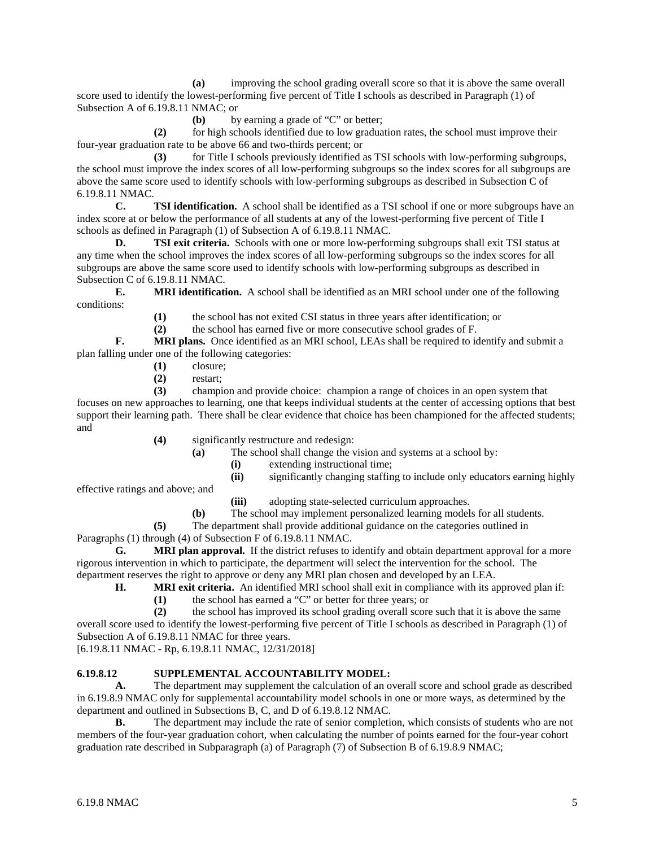**(a)** improving the school grading overall score so that it is above the same overall score used to identify the lowest-performing five percent of Title I schools as described in Paragraph (1) of Subsection A of 6.19.8.11 NMAC; or

**(b)** by earning a grade of "C" or better;

**(2)** for high schools identified due to low graduation rates, the school must improve their four-year graduation rate to be above 66 and two-thirds percent; or

**(3)** for Title I schools previously identified as TSI schools with low-performing subgroups, the school must improve the index scores of all low-performing subgroups so the index scores for all subgroups are above the same score used to identify schools with low-performing subgroups as described in Subsection C of 6.19.8.11 NMAC.

**C. TSI identification.** A school shall be identified as a TSI school if one or more subgroups have an index score at or below the performance of all students at any of the lowest-performing five percent of Title I schools as defined in Paragraph (1) of Subsection A of 6.19.8.11 NMAC.

**D. TSI exit criteria.** Schools with one or more low-performing subgroups shall exit TSI status at any time when the school improves the index scores of all low-performing subgroups so the index scores for all subgroups are above the same score used to identify schools with low-performing subgroups as described in Subsection C of 6.19.8.11 NMAC.

**E. MRI identification.** A school shall be identified as an MRI school under one of the following conditions:

**(1)** the school has not exited CSI status in three years after identification; or

**(2)** the school has earned five or more consecutive school grades of F.

**F. MRI plans.** Once identified as an MRI school, LEAs shall be required to identify and submit a plan falling under one of the following categories:

- **(1)** closure;
- **(2)** restart;

**(3)** champion and provide choice: champion a range of choices in an open system that focuses on new approaches to learning, one that keeps individual students at the center of accessing options that best support their learning path. There shall be clear evidence that choice has been championed for the affected students; and

- **(4)** significantly restructure and redesign:
	- **(a)** The school shall change the vision and systems at a school by:
		- **(i)** extending instructional time;

**(ii)** significantly changing staffing to include only educators earning highly

effective ratings and above; and

**(iii)** adopting state-selected curriculum approaches.

**(b)** The school may implement personalized learning models for all students.

**(5)** The department shall provide additional guidance on the categories outlined in

Paragraphs (1) through (4) of Subsection F of 6.19.8.11 NMAC.

**G. MRI plan approval.** If the district refuses to identify and obtain department approval for a more rigorous intervention in which to participate, the department will select the intervention for the school. The department reserves the right to approve or deny any MRI plan chosen and developed by an LEA.

**H. MRI exit criteria.** An identified MRI school shall exit in compliance with its approved plan if:

(1) the school has earned a "C" or better for three years; or <br>
(2) the school has improved its school grading overall score

**(2)** the school has improved its school grading overall score such that it is above the same overall score used to identify the lowest-performing five percent of Title I schools as described in Paragraph (1) of Subsection A of 6.19.8.11 NMAC for three years.

[6.19.8.11 NMAC - Rp, 6.19.8.11 NMAC, 12/31/2018]

# **6.19.8.12 SUPPLEMENTAL ACCOUNTABILITY MODEL:**

**A.** The department may supplement the calculation of an overall score and school grade as described in 6.19.8.9 NMAC only for supplemental accountability model schools in one or more ways, as determined by the department and outlined in Subsections B, C, and D of 6.19.8.12 NMAC.

**B.** The department may include the rate of senior completion, which consists of students who are not members of the four-year graduation cohort, when calculating the number of points earned for the four-year cohort graduation rate described in Subparagraph (a) of Paragraph (7) of Subsection B of 6.19.8.9 NMAC;